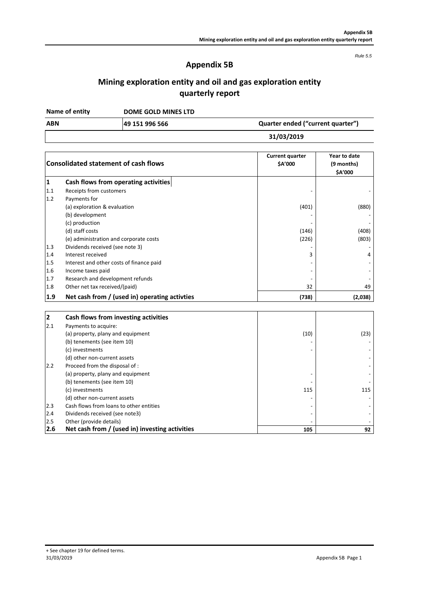*Rule 5.5*

### **Appendix 5B**

**Mining exploration entity and oil and gas exploration entity quarterly report**

**Name of entity**

**DOME GOLD MINES LTD**

**49 151 996 566 ABN Quarter ended ("current quarter")**

**31/03/2019**

| <b>Consolidated statement of cash flows</b> |                                               | <b>Current quarter</b><br>\$A'000 | Year to date<br>(9 months)<br>\$A'000 |  |
|---------------------------------------------|-----------------------------------------------|-----------------------------------|---------------------------------------|--|
| 1                                           | Cash flows from operating activities          |                                   |                                       |  |
| 1.1                                         | Receipts from customers                       |                                   |                                       |  |
| 1.2                                         | Payments for                                  |                                   |                                       |  |
|                                             | (a) exploration & evaluation                  | (401)                             | (880)                                 |  |
|                                             | (b) development                               |                                   |                                       |  |
|                                             | (c) production                                |                                   |                                       |  |
|                                             | (d) staff costs                               | (146)                             | (408)                                 |  |
|                                             | (e) administration and corporate costs        | (226)                             | (803)                                 |  |
| 1.3                                         | Dividends received (see note 3)               |                                   |                                       |  |
| 1.4                                         | Interest received                             | 3                                 | 4                                     |  |
| 1.5                                         | Interest and other costs of finance paid      |                                   |                                       |  |
| 1.6                                         | Income taxes paid                             |                                   |                                       |  |
| 1.7                                         | Research and development refunds              |                                   |                                       |  |
| 1.8                                         | Other net tax received/(paid)                 | 32                                | 49                                    |  |
| 1.9                                         | Net cash from / (used in) operating activties | (738)                             | (2,038)                               |  |
|                                             |                                               |                                   |                                       |  |
| $\overline{2}$                              | Cash flows from investing activities          |                                   |                                       |  |
| 2.1                                         | Payments to acquire:                          |                                   |                                       |  |
|                                             | (a) property, plany and equipment             | (10)                              | (23)                                  |  |
|                                             | (b) tenements (see item 10)                   |                                   |                                       |  |
|                                             | (c) investments                               |                                   |                                       |  |
|                                             | (d) other non-current assets                  |                                   |                                       |  |
| 2.2                                         | Proceed from the disposal of :                |                                   |                                       |  |

(a) property, plany and equipment - -  $\left($ b) tenements (see item 10)  $\left($ 

2.4 Dividends received (see note3) - -

 $(c)$  investments 115 (d) other non-current assets - -

2.3 Cash flows from loans to other entities and the set of the set of the set of the set of the set of the set of the set of the set of the set of the set of the set of the set of the set of the set of the set of the set o

**2.6 Net cash from / (used in) investing activities 105 92**

 $2.5$  Other (provide details)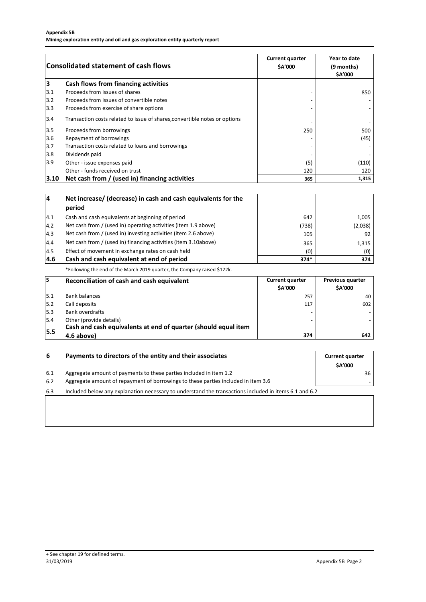|       | <b>Consolidated statement of cash flows</b>                                | <b>Current quarter</b><br>\$A'000 | Year to date<br>(9 months)<br>\$A'000 |
|-------|----------------------------------------------------------------------------|-----------------------------------|---------------------------------------|
| 3     | Cash flows from financing activities                                       |                                   |                                       |
| 3.1   | Proceeds from issues of shares                                             |                                   | 850                                   |
| 3.2   | Proceeds from issues of convertible notes                                  |                                   |                                       |
| 3.3   | Proceeds from exercise of share options                                    |                                   |                                       |
| 3.4   | Transaction costs related to issue of shares, convertible notes or options |                                   |                                       |
| $3.5$ | Proceeds from borrowings                                                   | 250                               | 500                                   |
| 3.6   | Repayment of borrowings                                                    |                                   | (45)                                  |
| 3.7   | Transaction costs related to loans and borrowings                          |                                   |                                       |
| 3.8   | Dividends paid                                                             |                                   |                                       |
| 3.9   | Other - issue expenses paid                                                | (5)                               | (110)                                 |
|       | Other - funds received on trust                                            | 120                               | 120                                   |
| 3.10  | Net cash from / (used in) financing activities                             | 365                               | 1,315                                 |

| 14            | Net increase/ (decrease) in cash and cash equivalents for the<br>period |        |         |
|---------------|-------------------------------------------------------------------------|--------|---------|
| 4.1           | Cash and cash equivalents at beginning of period                        | 642    | 1,005   |
| 14.2          | Net cash from / (used in) operating activities (item 1.9 above)         | (738)  | (2,038) |
| $ 4.3\rangle$ | Net cash from / (used in) investing activities (item 2.6 above)         | 105    | 92      |
| 4.4           | Net cash from / (used in) financing activities (item 3.10above)         | 365    | 1,315   |
| 14.5          | Effect of movement in exchange rates on cash held                       | (0)    | (0)     |
| 14.6          | Cash and cash equivalent at end of period                               | $374*$ | 374     |

\*Following the end of the March 2019 quarter, the Company raised \$122k.

| 15   | Reconciliation of cash and cash equivalent                     | <b>Current quarter</b><br><b>SA'000</b> | <b>Previous quarter</b><br><b>SA'000</b> |
|------|----------------------------------------------------------------|-----------------------------------------|------------------------------------------|
| 15.1 | <b>Bank balances</b>                                           | 257                                     | 40                                       |
| 15.2 | Call deposits                                                  | 117                                     | 602                                      |
| 5.3  | Bank overdrafts                                                |                                         |                                          |
| 5.4  | Other (provide details)                                        |                                         |                                          |
| 5.5  | Cash and cash equivalents at end of quarter (should equal item |                                         |                                          |
|      | 4.6 above)                                                     | 374                                     | 642                                      |

| 6   | Payments to directors of the entity and their associates                                              |    |
|-----|-------------------------------------------------------------------------------------------------------|----|
| 6.1 | Aggregate amount of payments to these parties included in item 1.2                                    | 36 |
| 6.2 | Aggregate amount of repayment of borrowings to these parties included in item 3.6                     |    |
| 6.3 | Included below any explanation necessary to understand the transactions included in items 6.1 and 6.2 |    |
|     |                                                                                                       |    |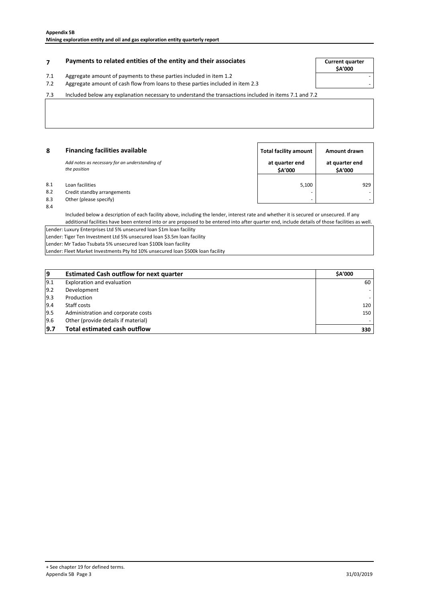### **Payments to related entities of the entity and their associates The Summan Summan Current quarter**

# 7.1 Aggregate amount of payments to these parties included in item 1.2<br>7.2 Aggregate amount of cash flow from loans to these parties included

**\$A'000**

## 7.2 - Aggregate amount of cash flow from loans to these parties included in item 2.3

7.3 Included below any explanation necessary to understand the transactions included in items 7.1 and 7.2

| 8   | <b>Financing facilities available</b>                          | <b>Total facility amount</b> | Amount drawn                    |
|-----|----------------------------------------------------------------|------------------------------|---------------------------------|
|     | Add notes as necessary for an understanding of<br>the position | at quarter end<br>\$A'000    | at quarter end<br><b>SA'000</b> |
| 8.1 | Loan facilities                                                | 5.100                        | 929                             |
| 8.2 | Credit standby arrangements                                    |                              |                                 |
| 8.3 | Other (please specify)                                         | -                            |                                 |
| 8.4 |                                                                |                              |                                 |

Included below a description of each facility above, including the lender, interest rate and whether it is secured or unsecured. If any additional facilities have been entered into or are proposed to be entered into after quarter end, include details of those facilities as well.

Lender: Luxury Enterprises Ltd 5% unsecured loan \$1m loan facility Lender: Tiger Ten Investment Ltd 5% unsecured loan \$3.5m loan facility Lender: Mr Tadao Tsubata 5% unsecured loan \$100k loan facility Lender: Fleet Market Investments Pty ltd 10% unsecured loan \$500k loan facility

| 19            | <b>Estimated Cash outflow for next quarter</b> | <b>SA'000</b> |
|---------------|------------------------------------------------|---------------|
| 19.1          | Exploration and evaluation                     | 60            |
| $ 9.2\rangle$ | Development                                    |               |
| 9.3           | Production                                     |               |
| 9.4           | Staff costs                                    | 120           |
| 9.5           | Administration and corporate costs             | 150           |
| 9.6           | Other (provide details if material)            |               |
| 9.7           | <b>Total estimated cash outflow</b>            | 330           |